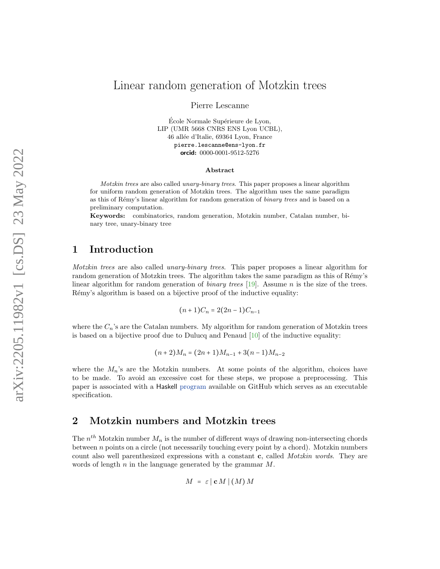# Linear random generation of Motzkin trees

Pierre Lescanne

École Normale Supérieure de Lyon, LIP (UMR 5668 CNRS ENS Lyon UCBL), 46 allée d'Italie, 69364 Lyon, France pierre.lescanne@ens-lyon.fr orcid: 0000-0001-9512-5276

#### Abstract

Motzkin trees are also called unary-binary trees. This paper proposes a linear algorithm for uniform random generation of Motzkin trees. The algorithm uses the same paradigm as this of Rémy's linear algorithm for random generation of *binary trees* and is based on a preliminary computation.

Keywords: combinatorics, random generation, Motzkin number, Catalan number, binary tree, unary-binary tree

## 1 Introduction

Motzkin trees are also called unary-binary trees. This paper proposes a linear algorithm for random generation of Motzkin trees. The algorithm takes the same paradigm as this of Rémy's linear algorithm for random generation of *binary trees* [\[19\]](#page-15-0). Assume *n* is the size of the trees. Rémy's algorithm is based on a bijective proof of the inductive equality:

$$
(n+1)C_n = 2(2n-1)C_{n-1}
$$

where the  $C_n$ 's are the Catalan numbers. My algorithm for random generation of Motzkin trees is based on a bijective proof due to Dulucq and Penaud  $[10]$  of the inductive equality:

$$
(n+2)M_n = (2n+1)M_{n-1} + 3(n-1)M_{n-2}
$$

where the  $M_n$ 's are the Motzkin numbers. At some points of the algorithm, choices have to be made. To avoid an excessive cost for these steps, we propose a preprocessing. This paper is associated with a Haskell [program](https://github.com/PierreLescanne/Motzkin) available on GitHub which serves as an executable specification.

## 2 Motzkin numbers and Motzkin trees

The  $n^{th}$  Motzkin number  $M_n$  is the number of different ways of drawing non-intersecting chords between n points on a circle (not necessarily touching every point by a chord). Motzkin numbers count also well parenthesized expressions with a constant c, called Motzkin words. They are words of length  $n$  in the language generated by the grammar  $M$ .

$$
M = \varepsilon | \mathbf{c} M | (M) M
$$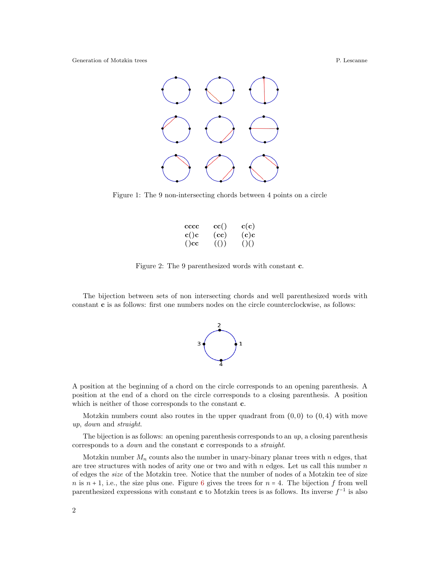

Figure 1: The 9 non-intersecting chords between 4 points on a circle

| cccc | $\operatorname{cc}(\mathcal{C})$ | c(c)       |
|------|----------------------------------|------------|
| c()c | (cc)                             | $\rm (c)c$ |
| ()cc | ( () )                           | ()()       |
|      |                                  |            |

Figure 2: The 9 parenthesized words with constant c.

The bijection between sets of non intersecting chords and well parenthesized words with constant c is as follows: first one numbers nodes on the circle counterclockwise, as follows:



A position at the beginning of a chord on the circle corresponds to an opening parenthesis. A position at the end of a chord on the circle corresponds to a closing parenthesis. A position which is neither of those corresponds to the constant **c**.

Motzkin numbers count also routes in the upper quadrant from  $(0, 0)$  to  $(0, 4)$  with move up, down and straight.

The bijection is as follows: an opening parenthesis corresponds to an  $up$ , a closing parenthesis corresponds to a down and the constant c corresponds to a straight.

Motzkin number  $M_n$  counts also the number in unary-binary planar trees with n edges, that are tree structures with nodes of arity one or two and with  $n$  edges. Let us call this number  $n$ of edges the size of the Motzkin tree. Notice that the number of nodes of a Motzkin tee of size n is  $n + 1$ , i.e., the size plus one. Figure [6](#page-6-0) gives the trees for  $n = 4$ . The bijection f from well parenthesized expressions with constant **c** to Motzkin trees is as follows. Its inverse  $f^{-1}$  is also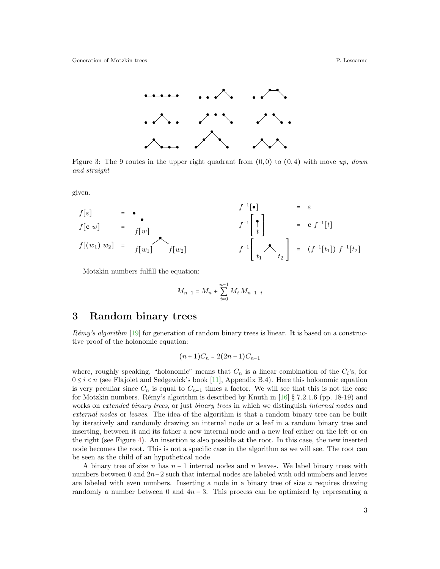

Figure 3: The 9 routes in the upper right quadrant from  $(0,0)$  to  $(0,4)$  with move up, down and straight

given.

$$
f[\varepsilon] = \begin{array}{ccl}\n & f^{-1}[\bullet] & = & \varepsilon \\
f[\mathbf{c} \ w] & = & f[w]\n\end{array}
$$
\n
$$
f[(w_1) \ w_2] = f[w_1] \qquad f[w_2]
$$
\n
$$
f[y_1] = \begin{array}{ccl}\n & f^{-1}[\bullet] \\
 & f^{-1}[\bullet] \\
 & f^{-1}[\bullet] \\
 & f^{-1}[\bullet] \\
 & & f^{-1}[\bullet] \\
 & & f^{-1}[\bullet] \\
 & & & f^{-1}[\bullet] \\
 & & & f^{-1}[\bullet] \\
 & & & & f^{-1}[\bullet] \\
 & & & & f^{-1}[\bullet] \\
 & & & & f^{-1}[\bullet]\n\end{array}
$$

⎣

t,

Motzkin numbers fulfill the equation:

$$
M_{n+1} = M_n + \sum_{i=0}^{n-1} M_i M_{n-1-i}
$$

## 3 Random binary trees

 $Rémv's algorithm$  [\[19\]](#page-15-0) for generation of random binary trees is linear. It is based on a constructive proof of the holonomic equation:

$$
(n+1)C_n = 2(2n-1)C_{n-1}
$$

where, roughly speaking, "holonomic" means that  $C_n$  is a linear combination of the  $C_i$ 's, for  $0 \leq i < n$  (see Flajolet and Sedgewick's book [\[11\]](#page-15-2), Appendix B.4). Here this holonomic equation is very peculiar since  $C_n$  is equal to  $C_{n-1}$  times a factor. We will see that this is not the case for Motzkin numbers. Rémy's algorithm is described by Knuth in [\[16\]](#page-15-3) § 7.2.1.6 (pp. 18-19) and works on *extended binary trees*, or just *binary trees* in which we distinguish *internal nodes* and external nodes or leaves. The idea of the algorithm is that a random binary tree can be built by iteratively and randomly drawing an internal node or a leaf in a random binary tree and inserting, between it and its father a new internal node and a new leaf either on the left or on the right (see Figure [4\)](#page-3-0). An insertion is also possible at the root. In this case, the new inserted node becomes the root. This is not a specific case in the algorithm as we will see. The root can be seen as the child of an hypothetical node

A binary tree of size n has  $n-1$  internal nodes and n leaves. We label binary trees with numbers between 0 and 2n−2 such that internal nodes are labeled with odd numbers and leaves are labeled with even numbers. Inserting a node in a binary tree of size  $n$  requires drawing randomly a number between 0 and  $4n - 3$ . This process can be optimized by representing a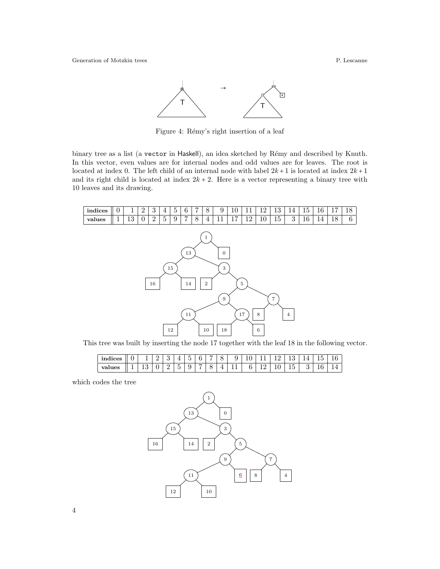

<span id="page-3-0"></span>Figure 4: Rémy's right insertion of a leaf

binary tree as a list (a vector in Haskell), an idea sketched by Rémy and described by Knuth. In this vector, even values are for internal nodes and odd values are for leaves. The root is located at index 0. The left child of an internal node with label  $2k+1$  is located at index  $2k+1$ and its right child is located at index  $2k + 2$ . Here is a vector representing a binary tree with 10 leaves and its drawing.



This tree was built by inserting the node 17 together with the leaf 18 in the following vector.

| indices |   | - |        | $\overline{\phantom{0}}$<br> |  | $\check{~}$ | ້   | C<br><b>.</b> |  |        | n | 16 |
|---------|---|---|--------|------------------------------|--|-------------|-----|---------------|--|--------|---|----|
| values  | ᅩ |   | ۔<br>h |                              |  |             | . . |               |  | -<br>ᅩ |   |    |

which codes the tree

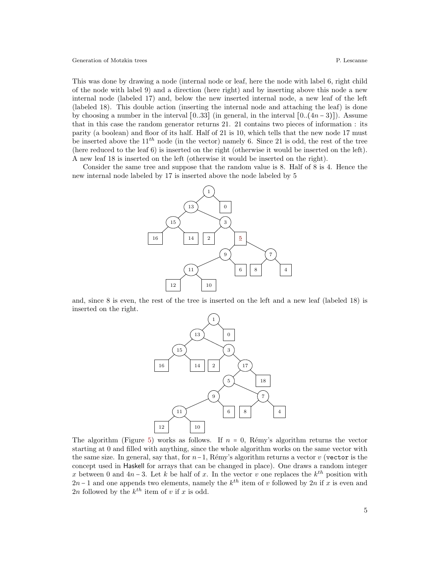This was done by drawing a node (internal node or leaf, here the node with label 6, right child of the node with label 9) and a direction (here right) and by inserting above this node a new internal node (labeled 17) and, below the new inserted internal node, a new leaf of the left (labeled 18). This double action (inserting the internal node and attaching the leaf) is done by choosing a number in the interval  $[0..33]$  (in general, in the interval  $[0..(4n-3)]$ ). Assume that in this case the random generator returns 21. 21 contains two pieces of information : its parity (a boolean) and floor of its half. Half of 21 is 10, which tells that the new node 17 must be inserted above the  $11^{th}$  node (in the vector) namely 6. Since 21 is odd, the rest of the tree (here reduced to the leaf 6) is inserted on the right (otherwise it would be inserted on the left). A new leaf 18 is inserted on the left (otherwise it would be inserted on the right).

Consider the same tree and suppose that the random value is 8. Half of 8 is 4. Hence the new internal node labeled by 17 is inserted above the node labeled by 5



and, since 8 is even, the rest of the tree is inserted on the left and a new leaf (labeled 18) is inserted on the right.



The algorithm (Figure [5\)](#page-5-0) works as follows. If  $n = 0$ , Rémy's algorithm returns the vector starting at 0 and filled with anything, since the whole algorithm works on the same vector with the same size. In general, say that, for  $n-1$ , Rémy's algorithm returns a vector v (vector is the concept used in Haskell for arrays that can be changed in place). One draws a random integer x between 0 and  $4n-3$ . Let k be half of x. In the vector v one replaces the  $k^{th}$  position with  $2n-1$  and one appends two elements, namely the  $k^{th}$  item of v followed by  $2n$  if x is even and 2n followed by the  $k^{th}$  item of v if x is odd.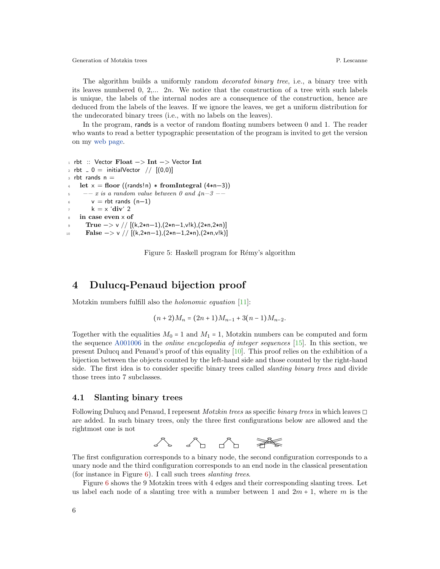The algorithm builds a uniformly random *decorated binary tree*, i.e., a binary tree with its leaves numbered  $0, 2,..., 2n$ . We notice that the construction of a tree with such labels is unique, the labels of the internal nodes are a consequence of the construction, hence are deduced from the labels of the leaves. If we ignore the leaves, we get a uniform distribution for the undecorated binary trees (i.e., with no labels on the leaves).

In the program, rands is a vector of random floating numbers between 0 and 1. The reader who wants to read a better typographic presentation of the program is invited to get the version on my [web page.](http://perso.ens-lyon.fr/pierre.lescanne/PUBLICATIONS/Motzkin_Rand_Gen.pdf)

```
1 rbt :: Vector Float −> Int −> Vector Int
2 rbt = 0 = \text{initialVector} // [(0,0)]3 rbt rands n =let x = floor ((rands!n) * fromIntegral (4*n-3))5 - -x is a random value between 0 and 4n-3 - -6 v = rbt rands (n−1)
        k = x 'div' 2
    in case even x of
      True -> v // [(k,2*n-1),(2*n-1,v!k),(2*n,2*n)]
10 False -> v // [(k,2*n-1),(2*n-1,2*n),(2*n,v!k)]
```
<span id="page-5-0"></span>Figure 5: Haskell program for Rémy's algorithm

## 4 Dulucq-Penaud bijection proof

Motzkin numbers fulfill also the holonomic equation [\[11\]](#page-15-2):

$$
(n+2)M_n = (2n+1)M_{n-1} + 3(n-1)M_{n-2}.
$$

Together with the equalities  $M_0 = 1$  and  $M_1 = 1$ , Motzkin numbers can be computed and form the sequence [A001006](https://oeis.org/A001006) in the online encyclopedia of integer sequences [\[15\]](#page-15-4). In this section, we present Dulucq and Penaud's proof of this equality [\[10\]](#page-15-1). This proof relies on the exhibition of a bijection between the objects counted by the left-hand side and those counted by the right-hand side. The first idea is to consider specific binary trees called *slanting binary trees* and divide those trees into 7 subclasses.

#### 4.1 Slanting binary trees

Following Dulucq and Penaud, I represent *Motzkin trees* as specific *binary trees* in which leaves  $\Box$ are added. In such binary trees, only the three first configurations below are allowed and the rightmost one is not



The first configuration corresponds to a binary node, the second configuration corresponds to a unary node and the third configuration corresponds to an end node in the classical presentation (for instance in Figure  $6$ ). I call such trees *slanting trees*.

Figure [6](#page-6-0) shows the 9 Motzkin trees with 4 edges and their corresponding slanting trees. Let us label each node of a slanting tree with a number between 1 and  $2m + 1$ , where m is the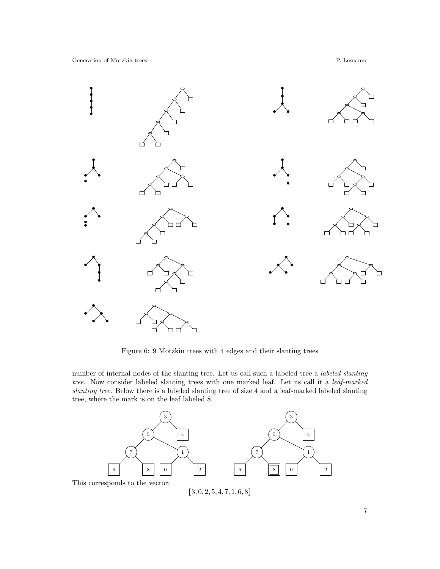

<span id="page-6-0"></span>Figure 6: 9 Motzkin trees with 4 edges and their slanting trees

number of internal nodes of the slanting tree. Let us call such a labeled tree a labeled slanting tree. Now consider labeled slanting trees with one marked leaf. Let us call it a leaf-marked slanting tree. Below there is a labeled slanting tree of size 4 and a leaf-marked labeled slanting tree, where the mark is on the leaf labeled 8.



 $[3, 0, 2, 5, 4, 7, 1, 6, 8]$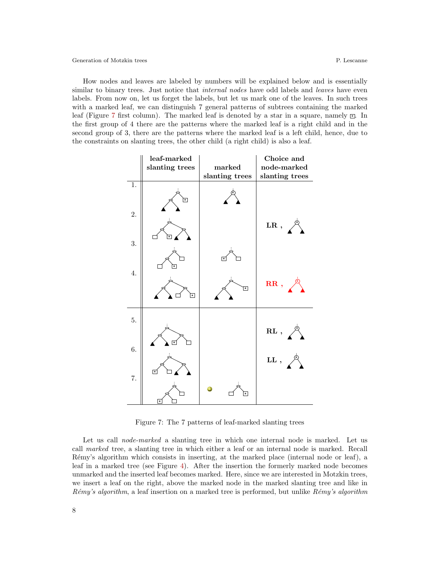How nodes and leaves are labeled by numbers will be explained below and is essentially similar to binary trees. Just notice that *internal nodes* have odd labels and *leaves* have even labels. From now on, let us forget the labels, but let us mark one of the leaves. In such trees with a marked leaf, we can distinguish 7 general patterns of subtrees containing the marked leaf (Figure [7](#page-7-0) first column). The marked leaf is denoted by a star in a square, namely  $\mathbb{E}$ . In the first group of 4 there are the patterns where the marked leaf is a right child and in the second group of 3, there are the patterns where the marked leaf is a left child, hence, due to the constraints on slanting trees, the other child (a right child) is also a leaf.



<span id="page-7-0"></span>Figure 7: The 7 patterns of leaf-marked slanting trees

Let us call *node-marked* a slanting tree in which one internal node is marked. Let us call marked tree, a slanting tree in which either a leaf or an internal node is marked. Recall Rémy's algorithm which consists in inserting, at the marked place (internal node or leaf), a leaf in a marked tree (see Figure [4\)](#page-3-0). After the insertion the formerly marked node becomes unmarked and the inserted leaf becomes marked. Here, since we are interested in Motzkin trees, we insert a leaf on the right, above the marked node in the marked slanting tree and like in Rémy's algorithm, a leaf insertion on a marked tree is performed, but unlike  $Rémy's algorithm$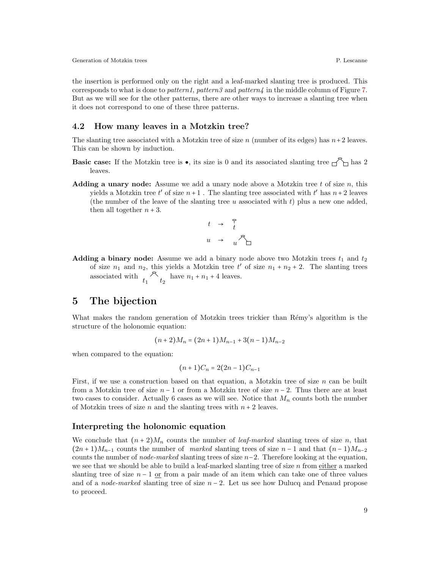the insertion is performed only on the right and a leaf-marked slanting tree is produced. This corresponds to what is done to *pattern1*, pattern3 and pattern $\mu$  in the middle column of Figure [7.](#page-7-0) But as we will see for the other patterns, there are other ways to increase a slanting tree when it does not correspond to one of these three patterns.

### 4.2 How many leaves in a Motzkin tree?

The slanting tree associated with a Motzkin tree of size n (number of its edges) has  $n+2$  leaves. This can be shown by induction.

- **Basic case:** If the Motzkin tree is  $\bullet$ , its size is 0 and its associated slanting tree  $\uparrow$  has 2 leaves.
- **Adding a unary node:** Assume we add a unary node above a Motzkin tree t of size n, this yields a Motzkin tree  $t'$  of size  $n+1$ . The slanting tree associated with  $t'$  has  $n+2$  leaves (the number of the leave of the slanting tree  $u$  associated with  $t$ ) plus a new one added, then all together  $n + 3$ .

$$
\begin{array}{ccc}\nt & \to & \uparrow\\
u & \to & u & \uparrow\\
\end{array}
$$

**Adding a binary node:** Assume we add a binary node above two Motzkin trees  $t_1$  and  $t_2$ of size  $n_1$  and  $n_2$ , this yields a Motzkin tree t' of size  $n_1 + n_2 + 2$ . The slanting trees associated with  $t_1 \uparrow t_2$  have  $n_1 + n_1 + 4$  leaves.

## 5 The bijection

What makes the random generation of Motzkin trees trickier than Rémy's algorithm is the structure of the holonomic equation:

$$
(n+2)M_n = (2n+1)M_{n-1} + 3(n-1)M_{n-2}
$$

when compared to the equation:

$$
(n+1)C_n = 2(2n-1)C_{n-1}
$$

First, if we use a construction based on that equation, a Motzkin tree of size n can be built from a Motzkin tree of size  $n-1$  or from a Motzkin tree of size  $n-2$ . Thus there are at least two cases to consider. Actually 6 cases as we will see. Notice that  $M_n$  counts both the number of Motzkin trees of size n and the slanting trees with  $n + 2$  leaves.

#### Interpreting the holonomic equation

We conclude that  $(n+2)M_n$  counts the number of *leaf-marked* slanting trees of size n, that  $(2n+1)M_{n-1}$  counts the number of marked slanting trees of size n – 1 and that  $(n-1)M_{n-2}$ counts the number of *node-marked* slanting trees of size  $n-2$ . Therefore looking at the equation, we see that we should be able to build a leaf-marked slanting tree of size  $n$  from either a marked slanting tree of size  $n-1$  or from a pair made of an item which can take one of three values and of a *node-marked* slanting tree of size  $n-2$ . Let us see how Dulucq and Penaud propose to proceed.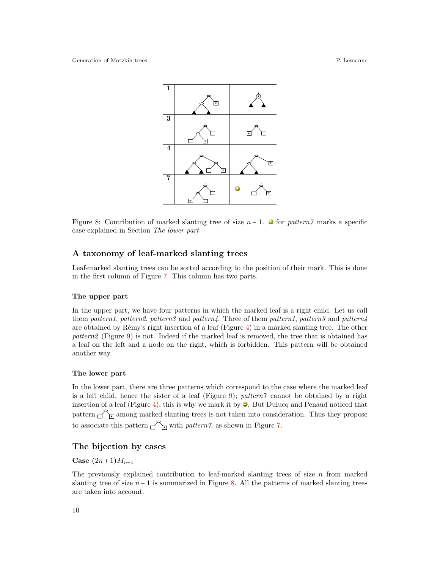

<span id="page-9-0"></span>Figure 8: Contribution of marked slanting tree of size  $n-1$ .  $\bullet$  for pattern7 marks a specific case explained in Section The lower part

#### A taxonomy of leaf-marked slanting trees

Leaf-marked slanting trees can be sorted according to the position of their mark. This is done in the first column of Figure [7.](#page-7-0) This column has two parts.

#### The upper part

In the upper part, we have four patterns in which the marked leaf is a right child. Let us call them pattern1, pattern2, pattern3 and pattern4. Three of them pattern1, pattern3 and pattern4 are obtained by Rémy's right insertion of a leaf (Figure [4\)](#page-3-0) in a marked slanting tree. The other pattern2 (Figure [9\)](#page-10-0) is not. Indeed if the marked leaf is removed, the tree that is obtained has a leaf on the left and a node on the right, which is forbidden. This pattern will be obtained another way.

#### The lower part

In the lower part, there are three patterns which correspond to the case where the marked leaf is a left child, hence the sister of a leaf (Figure [9\)](#page-10-0); pattern? cannot be obtained by a right insertion of a leaf (Figure [4\)](#page-3-0), this is why we mark it by  $\bullet$ . But Dulucq and Penaud noticed that pattern  $\bigcap_{i=1}^{\infty}$  among marked slanting trees is not taken into consideration. Thus they propose to associate this pattern  $\bigcap_{\Box}$  with pattern 7, as shown in Figure [7.](#page-7-0)

### The bijection by cases

Case  $(2n+1)M_{n-1}$ 

The previously explained contribution to leaf-marked slanting trees of size  $n$  from marked slanting tree of size  $n - 1$  is summarized in Figure [8.](#page-9-0) All the patterns of marked slanting trees are taken into account.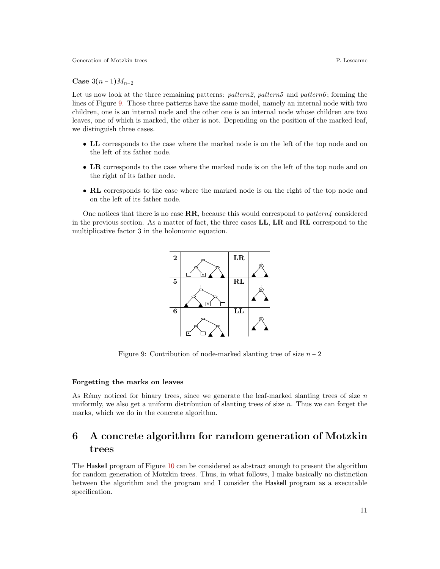Case  $3(n-1)M_{n-2}$ 

Let us now look at the three remaining patterns: *patterns*, *patterns* and *patterns*; forming the lines of Figure [9.](#page-10-0) Those three patterns have the same model, namely an internal node with two children, one is an internal node and the other one is an internal node whose children are two leaves, one of which is marked, the other is not. Depending on the position of the marked leaf, we distinguish three cases.

- LL corresponds to the case where the marked node is on the left of the top node and on the left of its father node.
- LR corresponds to the case where the marked node is on the left of the top node and on the right of its father node.
- RL corresponds to the case where the marked node is on the right of the top node and on the left of its father node.

One notices that there is no case  $\mathbf{RR}$ , because this would correspond to *pattern4* considered in the previous section. As a matter of fact, the three cases LL, LR and RL correspond to the multiplicative factor 3 in the holonomic equation.



<span id="page-10-0"></span>Figure 9: Contribution of node-marked slanting tree of size  $n-2$ 

#### Forgetting the marks on leaves

As Rémy noticed for binary trees, since we generate the leaf-marked slanting trees of size  $n$ uniformly, we also get a uniform distribution of slanting trees of size  $n$ . Thus we can forget the marks, which we do in the concrete algorithm.

# 6 A concrete algorithm for random generation of Motzkin trees

The Haskell program of Figure [10](#page-12-0) can be considered as abstract enough to present the algorithm for random generation of Motzkin trees. Thus, in what follows, I make basically no distinction between the algorithm and the program and I consider the Haskell program as a executable specification.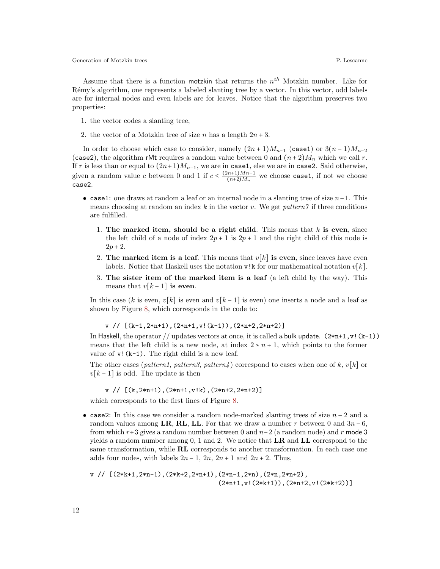Assume that there is a function motzkin that returns the  $n^{th}$  Motzkin number. Like for R´emy's algorithm, one represents a labeled slanting tree by a vector. In this vector, odd labels are for internal nodes and even labels are for leaves. Notice that the algorithm preserves two properties:

- 1. the vector codes a slanting tree,
- 2. the vector of a Motzkin tree of size n has a length  $2n + 3$ .

In order to choose which case to consider, namely  $(2n+1)M_{n-1}$  (case1) or  $3(n-1)M_{n-2}$ (case2), the algorithm rMt requires a random value between 0 and  $(n+2)M_n$  which we call r. If r is less than or equal to  $(2n+1)M_{n-1}$ , we are in case1, else we are in case2. Said otherwise, given a random value c between 0 and 1 if  $c \leq \frac{(2n+1)Mn-1}{(n+2)M_n}$  $\frac{(n+1)Mn-1}{(n+2)Mn}$  we choose case1, if not we choose case2.

- case1: one draws at random a leaf or an internal node in a slanting tree of size  $n-1$ . This means choosing at random an index k in the vector v. We get *pattern*? if three conditions are fulfilled.
	- 1. The marked item, should be a right child. This means that  $k$  is even, since the left child of a node of index  $2p + 1$  is  $2p + 1$  and the right child of this node is  $2p + 2$ .
	- 2. The marked item is a leaf. This means that  $v[k]$  is even, since leaves have even labels. Notice that Haskell uses the notation  $v\mathbb{R}$  for our mathematical notation  $v[k]$ .
	- 3. The sister item of the marked item is a leaf (a left child by the way). This means that  $v[k-1]$  is even.

In this case (k is even,  $v[k]$  is even and  $v[k-1]$  is even) one inserts a node and a leaf as shown by Figure [8,](#page-9-0) which corresponds in the code to:

 $v$  //  $[(k-1,2*n+1),(2*n+1,v!(k-1)),(2*n+2,2*n+2)]$ 

In Haskell, the operator // updates vectors at once, it is called a bulk update.  $(2*n+1, v!(k-1))$ means that the left child is a new node, at index  $2 \times n + 1$ , which points to the former value of  $v!(k-1)$ . The right child is a new leaf.

The other cases (pattern1, pattern3, pattern4) correspond to cases when one of k,  $v[k]$  or  $v[k-1]$  is odd. The update is then

v // [(k,2\*n+1),(2\*n+1,v!k),(2\*n+2,2\*n+2)]

which corresponds to the first lines of Figure [8.](#page-9-0)

• case2: In this case we consider a random node-marked slanting trees of size  $n-2$  and a random values among LR, RL, LL. For that we draw a number r between 0 and  $3n-6$ , from which  $r \div 3$  gives a random number between 0 and  $n-2$  (a random node) and r mode 3 yields a random number among  $0, 1$  and  $2$ . We notice that  $LR$  and  $LL$  correspond to the same transformation, while RL corresponds to another transformation. In each case one adds four nodes, with labels  $2n-1$ ,  $2n$ ,  $2n+1$  and  $2n+2$ . Thus,

```
v // [(2*k+1,2*n-1),(2*k+2,2*n+1),(2*n-1,2*n),(2*n,2*n+2),
                                    (2*n+1, v! (2*k+1)), (2*n+2, v! (2*k+2))]
```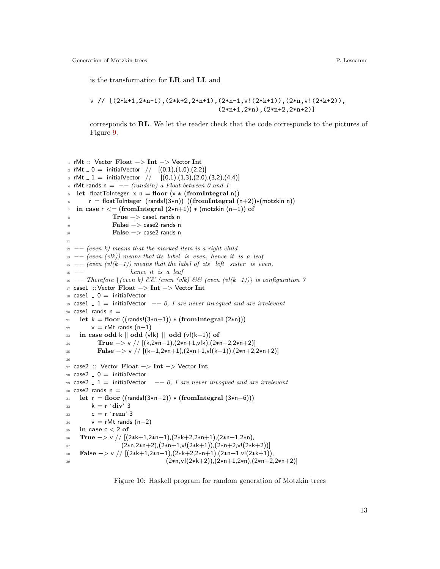is the transformation for LR and LL and

v // [(2\*k+1,2\*n-1),(2\*k+2,2\*n+1),(2\*n-1,v!(2\*k+1)),(2\*n,v!(2\*k+2)),  $(2*n+1,2*n)$ ,  $(2*n+2,2*n+2)$ ]

corresponds to RL. We let the reader check that the code corresponds to the pictures of Figure [9.](#page-10-0)

```
1 rMt :: Vector Float −> Int −> Vector Int
2 rMt = 0 = \text{initialVector} // [(0,1),(1,0),(2,2)]3 rMt -1 = \text{initialVector} \left| \begin{array}{cc} (0,1),(1,3),(2,0),(3,2),(4,4) \end{array} \right|4 rMt rands n = -- (rands!n) a Float between 0 and 1
5 let floatToInteger x n = floor (x * (fromIntegral n))
6 r = floatToInteger (rands!(3*n)) ((fromIntegral (n+2))*(motzkin n))
\tau in case r < = (fromIntegral (2∗n+1)) \ast (motzkin (n-1)) of
               8 True −> case1 rands n
9 False −> case2 rands n
10 False −> case2 rands n
11
12 –– (even k) means that the marked item is a right child
13 –– (even (v!k)) means that its label is even, hence it is a leaf
14 –− (even (v!(k-1))) means that the label of its left sister is even,
hence it is a leaf_{16} −− Therefore {(even k) && (even (v!k) && (even (v!(k-1))} is configuration 7
17 case1 :: Vector Float −> Int −> Vector Int
18 case1 = 0 = \text{initialVector}19 case1 \Box 1 = initialVector \Box - 0, 1 are never invoqued and are irrelevant
20 case1 rands n =21 let k = floor ((rands!(3*n+1)) * (fromIntegral (2*n)))
22 v = rMt rands (n-1)23 in case odd k \parallel odd (v!k) \parallel odd (v!(k-1)) of
True \rightarrow v \frac{\int (k,2*n+1),(2*n+1,v!k),(2*n+2,2*n+2)}{k+1}False \rightarrow v \text{ // } [(k-1,2*n+1),(2*n+1,v!(k-1)),(2*n+2,2*n+2)]26
27 case2 :: Vector Float −> Int −> Vector Int
28 \text{ case} 2 = 0 = \text{initialVector}29 case2 \Box 1 = initialVector \Box - 0, 1 are never invoqued and are irrelevant
30 \text{ case2 } rands n =31 let r = floor ((rands!(3*n+2)) * (fromIntegral (3*n-6)))
s_2 k = r 'div' 3
33 c = r'rem' 3
34 v = rMt rands (n–2)
35 in case c < 2 of
36 True -> v // [(2*k+1,2*n-1),(2*k+2,2*n+1),(2*n-1,2*n),
37 (2*n,2*n+2),(2*n+1,v!(2*k+1)),(2*n+2,v!(2*k+2))]38 False -> v // [(2*k+1,2*n-1),(2*k+2,2*n+1),(2*n-1,v!(2*k+1)),(2*n,v!(2*k+2)),(2*n+1,2*n),(2*n+2,2*n+2)]
```
<span id="page-12-0"></span>Figure 10: Haskell program for random generation of Motzkin trees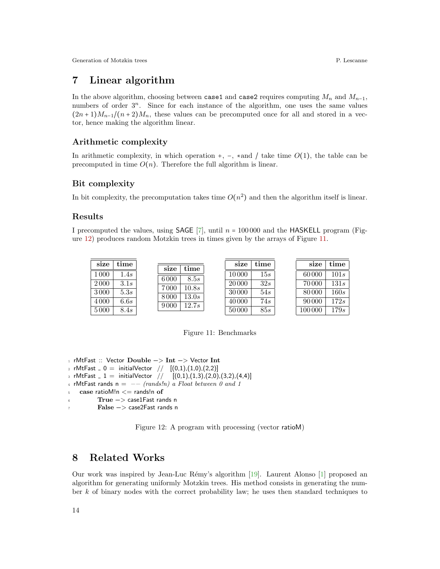# 7 Linear algorithm

In the above algorithm, choosing between case1 and case2 requires computing  $M_n$  and  $M_{n-1}$ , numbers of order  $3^n$ . Since for each instance of the algorithm, one uses the same values  $(2n+1)M_{n-1}/(n+2)M_n$ , these values can be precomputed once for all and stored in a vector, hence making the algorithm linear.

## Arithmetic complexity

In arithmetic complexity, in which operation +,  $-$ ,  $*$  and  $/$  take time  $O(1)$ , the table can be precomputed in time  $O(n)$ . Therefore the full algorithm is linear.

## Bit complexity

In bit complexity, the precomputation takes time  $O(n^2)$  and then the algorithm itself is linear.

#### Results

I precomputed the values, using SAGE [\[7\]](#page-15-5), until  $n = 100000$  and the HASKELL program (Figure [12\)](#page-13-0) produces random Motzkin trees in times given by the arrays of Figure [11.](#page-13-1)

| size | time | size | time  |  | time<br>size | size | time |        |      |
|------|------|------|-------|--|--------------|------|------|--------|------|
| 1000 | 1.4s | 6000 | 8.5s  |  | 10000        | 15s  |      | 60000  | 101s |
| 2000 | 3.1s | 7000 | 10.8s |  | 20 000       | 32s  |      | 70 000 | 131s |
| 3000 | 5.3s | 8000 | 13.0s |  | 30000        | 54s  |      | 80000  | 160s |
| 4000 | 6.6s | 9000 | 12.7s |  | 40 000       | 74s  |      | 90 000 | 172s |
| 5000 | 8.4s |      |       |  | 50000        | 85s  |      | 100000 | 179s |

<span id="page-13-1"></span>Figure 11: Benchmarks

```
1 rMtFast :: Vector Double −> Int −> Vector Int
2 rMtFast = 0 = \text{initialVector} // [(0,1),(1,0),(2,2)]3 rMtFast 1 = \text{initialVector} // [(0,1),(1,3),(2,0),(3,2),(4,4)]4 rMtFast rands n = -- (rands!n) a Float between 0 and 1
5 case ratioM!n \leq rands!n of
          True -> case1Fast rands n
          7 False −> case2Fast rands n
```
<span id="page-13-0"></span>Figure 12: A program with processing (vector ratioM)

# 8 Related Works

Our work was inspired by Jean-Luc R´emy's algorithm [\[19\]](#page-15-0). Laurent Alonso [\[1\]](#page-14-0) proposed an algorithm for generating uniformly Motzkin trees. His method consists in generating the number k of binary nodes with the correct probability law; he uses then standard techniques to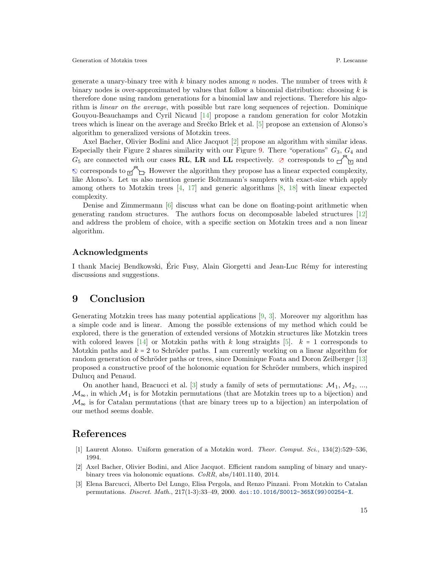generate a unary-binary tree with k binary nodes among n nodes. The number of trees with  $k$ binary nodes is over-approximated by values that follow a binomial distribution: choosing  $k$  is therefore done using random generations for a binomial law and rejections. Therefore his algorithm is linear on the average, with possible but rare long sequences of rejection. Dominique Gouyou-Beauchamps and Cyril Nicaud [\[14\]](#page-15-6) propose a random generation for color Motzkin trees which is linear on the average and Srečko Brlek et al. [\[5\]](#page-15-7) propose an extension of Alonso's algorithm to generalized versions of Motzkin trees.

Axel Bacher, Olivier Bodini and Alice Jacquot [\[2\]](#page-14-1) propose an algorithm with similar ideas. Especially their Figure 2 shares similarity with our Figure [9.](#page-10-0) There "operations"  $G_3$ ,  $G_4$  and  $G_5$  are connected with our cases **RL**, LR and LL respectively.  $\oslash$  corresponds to  $\bigcap$ <sub>E</sub> and  $\circ$  corresponds to  $\circ$  . However the algorithm they propose has a linear expected complexity, like Alonso's. Let us also mention generic Boltzmann's samplers with exact-size which apply among others to Motzkin trees  $[4, 17]$  $[4, 17]$  $[4, 17]$  and generic algorithms  $[8, 18]$  $[8, 18]$  $[8, 18]$  with linear expected complexity.

Denise and Zimmermann [\[6\]](#page-15-12) discuss what can be done on floating-point arithmetic when generating random structures. The authors focus on decomposable labeled structures [\[12\]](#page-15-13) and address the problem of choice, with a specific section on Motzkin trees and a non linear algorithm.

#### Acknowledgments

I thank Maciej Bendkowski, Eric Fusy, Alain Giorgetti and Jean-Luc R´emy for interesting ´ discussions and suggestions.

## 9 Conclusion

Generating Motzkin trees has many potential applications [\[9,](#page-15-14) [3\]](#page-14-2). Moreover my algorithm has a simple code and is linear. Among the possible extensions of my method which could be explored, there is the generation of extended versions of Motzkin structures like Motzkin trees with colored leaves [\[14\]](#page-15-6) or Motzkin paths with k long straights [\[5\]](#page-15-7).  $k = 1$  corresponds to Motzkin paths and  $k = 2$  to Schröder paths. I am currently working on a linear algorithm for random generation of Schröder paths or trees, since Dominique Foata and Doron Zeilberger [\[13\]](#page-15-15) proposed a constructive proof of the holonomic equation for Schr¨oder numbers, which inspired Dulucq and Penaud.

On another hand, Bracucci et al. [\[3\]](#page-14-2) study a family of sets of permutations:  $M_1, M_2, ...$  $\mathcal{M}_{\infty}$ , in which  $\mathcal{M}_1$  is for Motzkin permutations (that are Motzkin trees up to a bijection) and  $\mathcal{M}_{\infty}$  is for Catalan permutations (that are binary trees up to a bijection) an interpolation of our method seems doable.

## References

- <span id="page-14-0"></span>[1] Laurent Alonso. Uniform generation of a Motzkin word. Theor. Comput. Sci., 134(2):529–536, 1994.
- <span id="page-14-1"></span>[2] Axel Bacher, Olivier Bodini, and Alice Jacquot. Efficient random sampling of binary and unarybinary trees via holonomic equations. CoRR, abs/1401.1140, 2014.
- <span id="page-14-2"></span>[3] Elena Barcucci, Alberto Del Lungo, Elisa Pergola, and Renzo Pinzani. From Motzkin to Catalan permutations. Discret. Math., 217(1-3):33–49, 2000. [doi:10.1016/S0012-365X\(99\)00254-X](https://doi.org/10.1016/S0012-365X(99)00254-X).